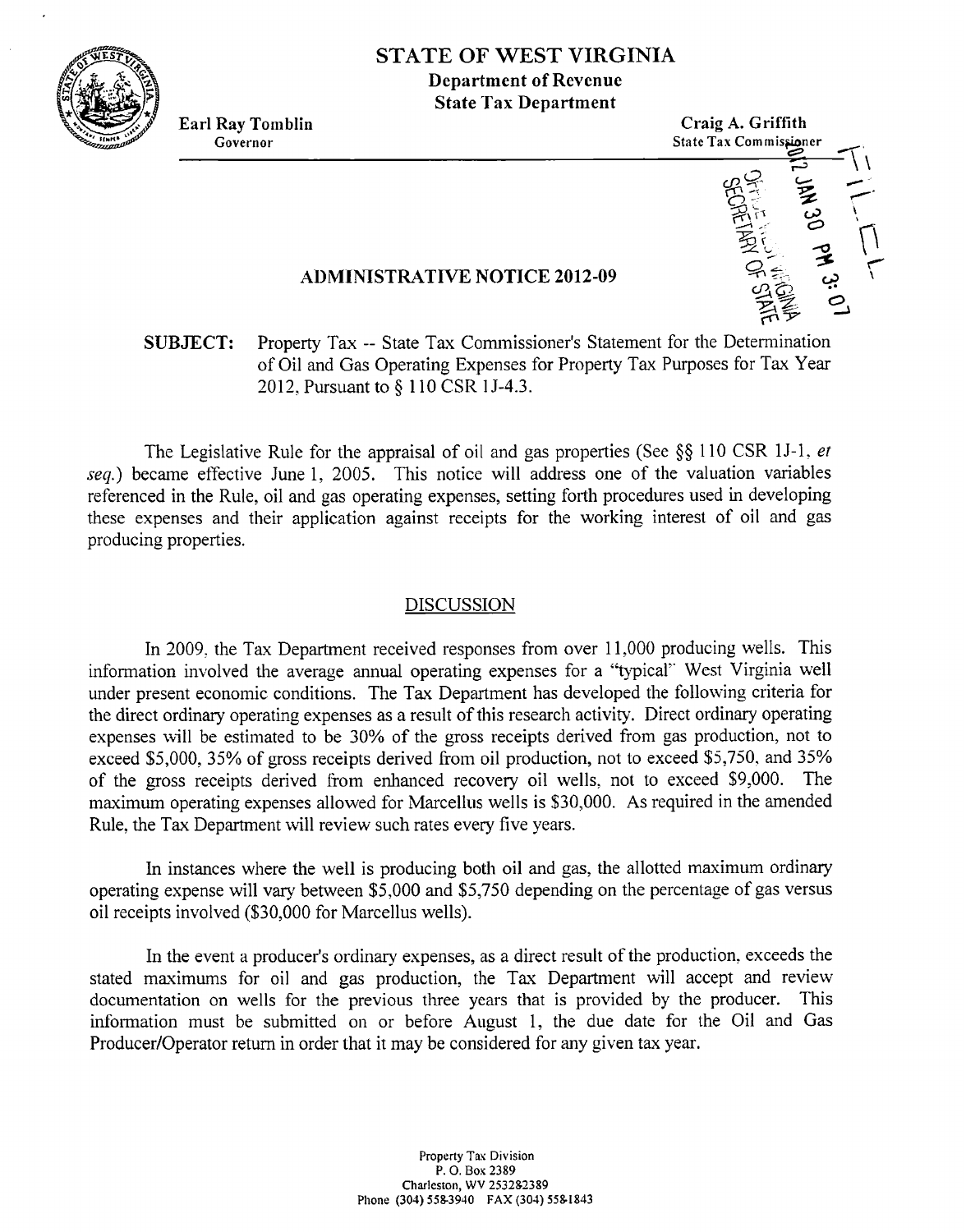# **STATE OF WEST VIRGINIA**

**Department of Rcvcnue State Tax Department** 



### **ADMINISTRATIVE NOTICE 2012-09**

# **SUBJECT:** Property Tax -- State Tax Commissioner's Statement for the Determination of Oil and Gas Operating Expenses for Property Tax Purposes for Tax Year 2012. Pursuant to § 110 CSR 1J-4.3.

The Legislative Rule for the appraisal of oil and gas properties (See **\$9** 110 CSR 1J-1. et seq.) became effective June 1, 2005. This notice will address one of the valuation variables referenced in the Rule, oil and gas operating expenses, setting forth procedures used in developing these expenses and their application against receipts for the working interest of oil and gas producing properties.

## DISCUSSION

In 2009. the Tax Department received responses from over 11,000 producing wells. This information involved the average annual operating expenses for a "typical" West Virginia well under present economic conditions. The Tax Department has developed the following criteria for the direct ordinary operating expenses as a result of this research activity. Direct ordinary operating expenses will be estimated to be 30% of the gross receipts derived from gas production, not to exceed \$5,000, 35% of gross receipts derived horn oil production, not to exceed \$5,750. and 35% of the gross receipts derived from enhanced recovery oil wells, not to exceed \$9,000. The maximum operating expenses allowed for Marcellus wells is \$30,000. As required in the amended Rule. the Tax Department will review such rates every five years.

In instances where the well is producing both oil and gas, the allotted maximum ordinary operating expense will vary between \$5,000 and \$5,750 depending on the percentage of gas versus oil receipts involved (\$30,000 for Marcellus wells).

In the event a producer's ordinary expenses, as a direct result of the production. exceeds the stated maximums for oil and gas production, the Tax Department will accept and review documentation on wells for the previous three years that is provided by the producer. This information must be submitted on or before August 1, the due date for the Oil and Gas Producer/Operator return in order that it may be considered for any given tax year.